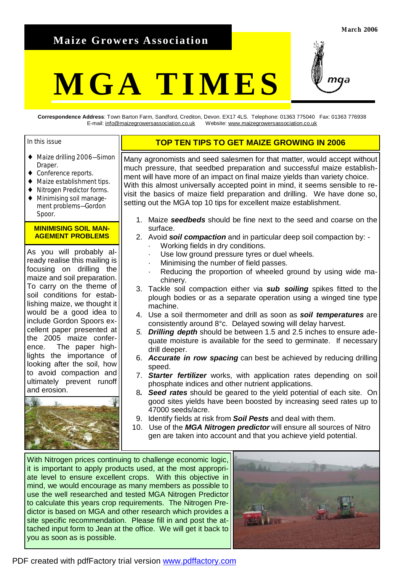# **Maize Growers Association**

#### **March 2006**

# **MGA TIMES**



**Correspondence Address**: Town Barton Farm, Sandford, Crediton, Devon. EX17 4LS. Telephone: 01363 775040 Fax: 01363 776938 E-mail: [info@maizegrowersassociation.co.uk](mailto:info@maizegrowersassociation.co.uk) Website: [www.maizegrowersassociation.co.uk](http://www.maizegrowersassociation.co.uk)

#### In this issue

- ♦ Maize drilling 2006—Simon Draper.
- ♦ Conference reports.
- ♦ Maize establishment tips.
- ♦ Nitrogen Predictor forms.
- ♦ Minimising soil management problems—Gordon Spoor.

### **MINIMISING SOIL MAN-AGEMENT PROBLEMS**

As you will probably already realise this mailing is focusing on drilling the maize and soil preparation. To carry on the theme of soil conditions for establishing maize, we thought it would be a good idea to include Gordon Spoors excellent paper presented at the 2005 maize conference. The paper highlights the importance of looking after the soil, how to avoid compaction and ultimately prevent runoff and erosion.



# **TOP TEN TIPS TO GET MAIZE GROWING IN 2006**

Many agronomists and seed salesmen for that matter, would accept without much pressure, that seedbed preparation and successful maize establishment will have more of an impact on final maize yields than variety choice. With this almost universally accepted point in mind, it seems sensible to revisit the basics of maize field preparation and drilling. We have done so, setting out the MGA top 10 tips for excellent maize establishment.

- 1. Maize *seedbeds* should be fine next to the seed and coarse on the surface.
- 2. Avoid *soil compaction* and in particular deep soil compaction by:
	- Working fields in dry conditions.
	- Use low ground pressure tyres or duel wheels.
	- Minimising the number of field passes.
	- Reducing the proportion of wheeled ground by using wide machinery.
- 3. Tackle soil compaction either via *sub soiling* spikes fitted to the plough bodies or as a separate operation using a winged tine type machine.
- 4. Use a soil thermometer and drill as soon as *soil temperatures* are consistently around 8°c. Delayed sowing will delay harvest.
- *5. Drilling depth* should be between 1.5 and 2.5 inches to ensure adequate moisture is available for the seed to germinate. If necessary drill deeper.
- 6. *Accurate in row spacing* can best be achieved by reducing drilling speed.
- 7. *Starter fertilizer* works, with application rates depending on soil phosphate indices and other nutrient applications.
- 8*. Seed rates* should be geared to the yield potential of each site. On good sites yields have been boosted by increasing seed rates up to 47000 seeds/acre.
- 9. Identify fields at risk from *Soil Pests* and deal with them.
- 10. Use of the *MGA Nitrogen predictor* will ensure all sources of Nitro gen are taken into account and that you achieve yield potential.

With Nitrogen prices continuing to challenge economic logic, it is important to apply products used, at the most appropriate level to ensure excellent crops. With this objective in mind, we would encourage as many members as possible to use the well researched and tested MGA Nitrogen Predictor to calculate this years crop requirements. The Nitrogen Predictor is based on MGA and other research which provides a site specific recommendation. Please fill in and post the attached input form to Jean at the office. We will get it back to you as soon as is possible.